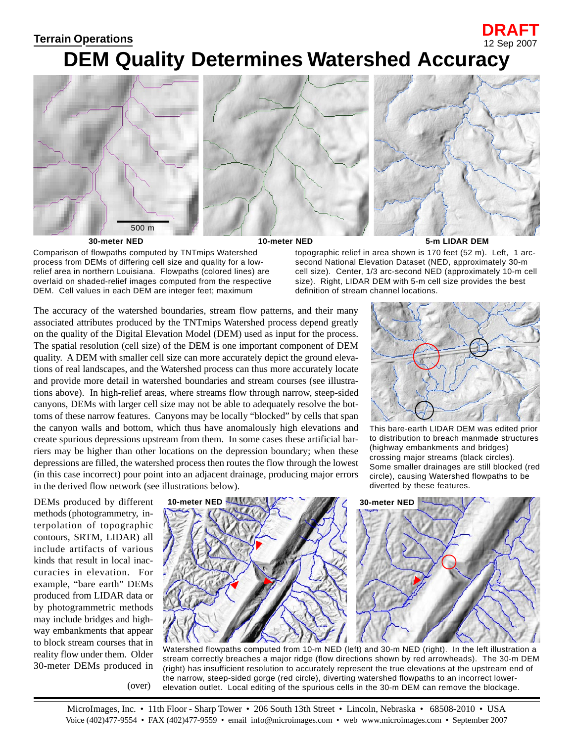## **Terrain Operations** 12 Sep 2007

## **DEM Quality Determines Watershed Accuracy**



Comparison of flowpaths computed by TNTmips Watershed process from DEMs of differing cell size and quality for a lowrelief area in northern Louisiana. Flowpaths (colored lines) are overlaid on shaded-relief images computed from the respective DEM. Cell values in each DEM are integer feet; maximum

topographic relief in area shown is 170 feet (52 m). Left, 1 arcsecond National Elevation Dataset (NED, approximately 30-m cell size). Center, 1/3 arc-second NED (approximately 10-m cell size). Right, LIDAR DEM with 5-m cell size provides the best definition of stream channel locations.

The accuracy of the watershed boundaries, stream flow patterns, and their many associated attributes produced by the TNTmips Watershed process depend greatly on the quality of the Digital Elevation Model (DEM) used as input for the process. The spatial resolution (cell size) of the DEM is one important component of DEM quality. A DEM with smaller cell size can more accurately depict the ground elevations of real landscapes, and the Watershed process can thus more accurately locate and provide more detail in watershed boundaries and stream courses (see illustrations above). In high-relief areas, where streams flow through narrow, steep-sided canyons, DEMs with larger cell size may not be able to adequately resolve the bottoms of these narrow features. Canyons may be locally "blocked" by cells that span the canyon walls and bottom, which thus have anomalously high elevations and create spurious depressions upstream from them. In some cases these artificial barriers may be higher than other locations on the depression boundary; when these depressions are filled, the watershed process then routes the flow through the lowest (in this case incorrect) pour point into an adjacent drainage, producing major errors in the derived flow network (see illustrations below).



**DRAFT**

This bare-earth LIDAR DEM was edited prior to distribution to breach manmade structures (highway embankments and bridges) crossing major streams (black circles). Some smaller drainages are still blocked (red circle), causing Watershed flowpaths to be diverted by these features.

DEMs produced by different methods (photogrammetry, interpolation of topographic contours, SRTM, LIDAR) all include artifacts of various kinds that result in local inaccuracies in elevation. For example, "bare earth" DEMs produced from LIDAR data or by photogrammetric methods may include bridges and highway embankments that appear to block stream courses that in reality flow under them. Older 30-meter DEMs produced in



Watershed flowpaths computed from 10-m NED (left) and 30-m NED (right). In the left illustration a stream correctly breaches a major ridge (flow directions shown by red arrowheads). The 30-m DEM (right) has insufficient resolution to accurately represent the true elevations at the upstream end of the narrow, steep-sided gorge (red circle), diverting watershed flowpaths to an incorrect lowerelevation outlet. Local editing of the spurious cells in the 30-m DEM can remove the blockage.

(over)